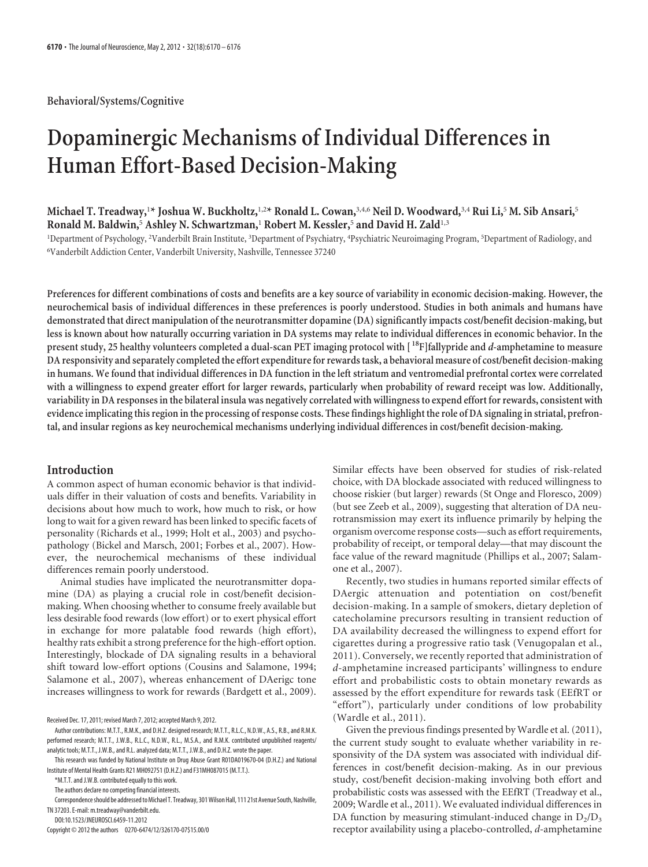# **Dopaminergic Mechanisms of Individual Differences in Human Effort-Based Decision-Making**

**Michael T. Treadway,**<sup>1</sup> **\* Joshua W. Buckholtz,**1,2**\* Ronald L. Cowan,**3,4,6 **Neil D. Woodward,**3,4 **Rui Li,**<sup>5</sup> **M. Sib Ansari,**<sup>5</sup> **Ronald M. Baldwin,**<sup>5</sup> **Ashley N. Schwartzman,**<sup>1</sup> **Robert M. Kessler,**<sup>5</sup> **and David H. Zald**1,3

<sup>1</sup>Department of Psychology, <sup>2</sup>Vanderbilt Brain Institute, <sup>3</sup>Department of Psychiatry, <sup>4</sup>Psychiatric Neuroimaging Program, <sup>5</sup>Department of Radiology, and 6 Vanderbilt Addiction Center, Vanderbilt University, Nashville, Tennessee 37240

**Preferences for different combinations of costs and benefits are a key source of variability in economic decision-making. However, the neurochemical basis of individual differences in these preferences is poorly understood. Studies in both animals and humans have demonstrated that direct manipulation of the neurotransmitter dopamine (DA) significantly impacts cost/benefit decision-making, but less is known about how naturally occurring variation in DA systems may relate to individual differences in economic behavior. In the present study, 25 healthy volunteers completed a dual-scan PET imaging protocol with [ 18F]fallypride and** *d***-amphetamine to measure DA responsivity and separately completed the effort expenditure for rewards task, a behavioral measure of cost/benefit decision-making in humans. We found that individual differences in DA function in the left striatum and ventromedial prefrontal cortex were correlated with a willingness to expend greater effort for larger rewards, particularly when probability of reward receipt was low. Additionally, variability in DA responses in the bilateral insula was negatively correlated with willingness to expend effort for rewards, consistent with evidence implicating this region in the processing of response costs. These findings highlight the role of DA signaling in striatal, prefrontal, and insular regions as key neurochemical mechanisms underlying individual differences in cost/benefit decision-making.**

# **Introduction**

A common aspect of human economic behavior is that individuals differ in their valuation of costs and benefits. Variability in decisions about how much to work, how much to risk, or how long to wait for a given reward has been linked to specific facets of personality (Richards et al., 1999; Holt et al., 2003) and psychopathology (Bickel and Marsch, 2001; Forbes et al., 2007). However, the neurochemical mechanisms of these individual differences remain poorly understood.

Animal studies have implicated the neurotransmitter dopamine (DA) as playing a crucial role in cost/benefit decisionmaking. When choosing whether to consume freely available but less desirable food rewards (low effort) or to exert physical effort in exchange for more palatable food rewards (high effort), healthy rats exhibit a strong preference for the high-effort option. Interestingly, blockade of DA signaling results in a behavioral shift toward low-effort options (Cousins and Salamone, 1994; Salamone et al., 2007), whereas enhancement of DAerigc tone increases willingness to work for rewards (Bardgett et al., 2009).

Received Dec. 17, 2011; revised March 7, 2012; accepted March 9, 2012.

DOI:10.1523/JNEUROSCI.6459-11.2012

Similar effects have been observed for studies of risk-related choice, with DA blockade associated with reduced willingness to choose riskier (but larger) rewards (St Onge and Floresco, 2009) (but see Zeeb et al., 2009), suggesting that alteration of DA neurotransmission may exert its influence primarily by helping the organism overcome response costs—such as effort requirements, probability of receipt, or temporal delay—that may discount the face value of the reward magnitude (Phillips et al., 2007; Salamone et al., 2007).

Recently, two studies in humans reported similar effects of DAergic attenuation and potentiation on cost/benefit decision-making. In a sample of smokers, dietary depletion of catecholamine precursors resulting in transient reduction of DA availability decreased the willingness to expend effort for cigarettes during a progressive ratio task (Venugopalan et al., 2011). Conversely, we recently reported that administration of *d*-amphetamine increased participants' willingness to endure effort and probabilistic costs to obtain monetary rewards as assessed by the effort expenditure for rewards task (EEfRT or "effort"), particularly under conditions of low probability (Wardle et al., 2011).

Given the previous findings presented by Wardle et al. (2011), the current study sought to evaluate whether variability in responsivity of the DA system was associated with individual differences in cost/benefit decision-making. As in our previous study, cost/benefit decision-making involving both effort and probabilistic costs was assessed with the EEfRT (Treadway et al., 2009; Wardle et al., 2011). We evaluated individual differences in DA function by measuring stimulant-induced change in  $D_2/D_3$ receptor availability using a placebo-controlled, *d*-amphetamine

Author contributions: M.T.T., R.M.K., and D.H.Z. designed research; M.T.T., R.L.C., N.D.W., A.S., R.B., and R.M.K. performed research; M.T.T., J.W.B., R.L.C., N.D.W., R.L., M.S.A., and R.M.K. contributed unpublished reagents/ analytic tools; M.T.T., J.W.B., and R.L. analyzed data; M.T.T., J.W.B., and D.H.Z. wrote the paper.

This research was funded by National Institute on Drug Abuse Grant R01DA019670-04 (D.H.Z.) and National Institute of Mental Health Grants R21 MH092751 (D.H.Z.) and F31MH087015 (M.T.T.).

<sup>\*</sup>M.T.T. and J.W.B. contributed equally to this work.

The authors declare no competing financial interests.

Correspondence should be addressed to Michael T. Treadway, 301 Wilson Hall, 111 21st Avenue South, Nashville, TN 37203. E-mail: m.treadway@vanderbilt.edu.

Copyright © 2012 the authors 0270-6474/12/326170-07\$15.00/0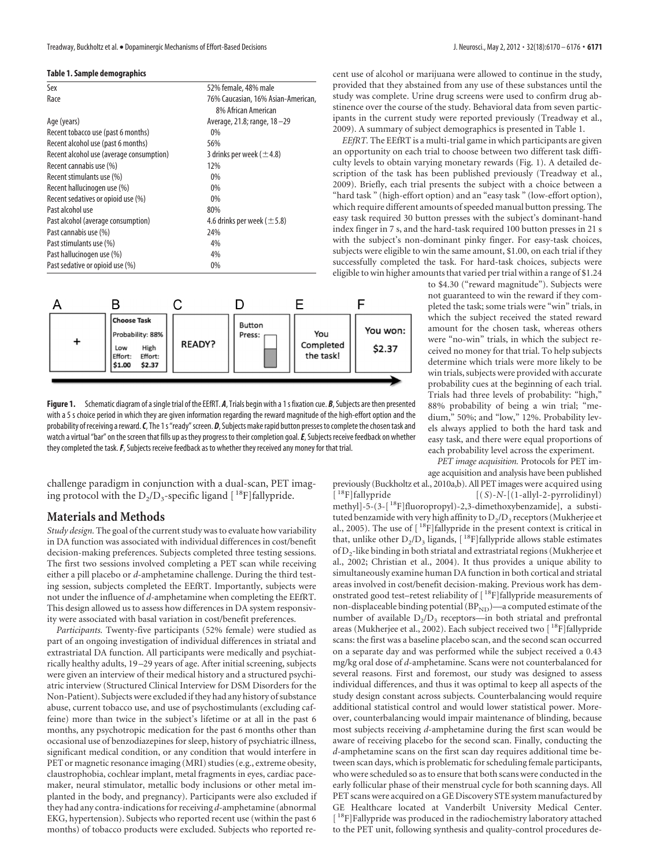### **Table 1. Sample demographics**

| Sex                                      | 52% female, 48% male                                      |
|------------------------------------------|-----------------------------------------------------------|
| Race                                     | 76% Caucasian, 16% Asian-American,<br>8% African American |
| Age (years)                              | Average, 21.8; range, 18-29                               |
| Recent tobacco use (past 6 months)       | $0\%$                                                     |
| Recent alcohol use (past 6 months)       | 56%                                                       |
| Recent alcohol use (average consumption) | 3 drinks per week ( $\pm$ 4.8)                            |
| Recent cannabis use (%)                  | 12%                                                       |
| Recent stimulants use (%)                | 0%                                                        |
| Recent hallucinogen use (%)              | 0%                                                        |
| Recent sedatives or opioid use (%)       | 0%                                                        |
| Past alcohol use                         | 80%                                                       |
| Past alcohol (average consumption)       | 4.6 drinks per week ( $\pm$ 5.8)                          |
| Past cannabis use (%)                    | 24%                                                       |
| Past stimulants use (%)                  | 4%                                                        |
| Past hallucinogen use (%)                | 4%                                                        |
| Past sedative or opioid use (%)          | 0%                                                        |
|                                          |                                                           |



Figure 1. Schematic diagram of a single trial of the EEfRT. *A*, Trials begin with a 1s fixation cue. *B*, Subjects are then presented with a 5 s choice period in which they are given information regarding the reward magnitude of the high-effort option and the probability of receiving a reward. C, The 1s "ready" screen. D, Subjects make rapid button presses to complete the chosen task and watch a virtual "bar" on the screen that fills up as they progress to their completion goal. E, Subjects receive feedback on whether they completed the task.*F*, Subjects receive feedback as to whether they received any money for that trial.

challenge paradigm in conjunction with a dual-scan, PET imaging protocol with the  $D_2/D_3$ -specific ligand  $[$ <sup>18</sup>F]fallypride.

## **Materials and Methods**

*Study design.* The goal of the current study was to evaluate how variability in DA function was associated with individual differences in cost/benefit decision-making preferences. Subjects completed three testing sessions. The first two sessions involved completing a PET scan while receiving either a pill placebo or *d*-amphetamine challenge. During the third testing session, subjects completed the EEfRT. Importantly, subjects were not under the influence of *d*-amphetamine when completing the EEfRT. This design allowed us to assess how differences in DA system responsivity were associated with basal variation in cost/benefit preferences.

*Participants.* Twenty-five participants (52% female) were studied as part of an ongoing investigation of individual differences in striatal and extrastriatal DA function. All participants were medically and psychiatrically healthy adults, 19 –29 years of age. After initial screening, subjects were given an interview of their medical history and a structured psychiatric interview (Structured Clinical Interview for DSM Disorders for the Non-Patient). Subjects were excluded if they had any history of substance abuse, current tobacco use, and use of psychostimulants (excluding caffeine) more than twice in the subject's lifetime or at all in the past 6 months, any psychotropic medication for the past 6 months other than occasional use of benzodiazepines for sleep, history of psychiatric illness, significant medical condition, or any condition that would interfere in PET or magnetic resonance imaging (MRI) studies (e.g., extreme obesity, claustrophobia, cochlear implant, metal fragments in eyes, cardiac pacemaker, neural stimulator, metallic body inclusions or other metal implanted in the body, and pregnancy). Participants were also excluded if they had any contra-indications for receiving *d*-amphetamine (abnormal EKG, hypertension). Subjects who reported recent use (within the past 6 months) of tobacco products were excluded. Subjects who reported recent use of alcohol or marijuana were allowed to continue in the study, provided that they abstained from any use of these substances until the study was complete. Urine drug screens were used to confirm drug abstinence over the course of the study. Behavioral data from seven participants in the current study were reported previously (Treadway et al., 2009). A summary of subject demographics is presented in Table 1.

*EEfRT.* The EEfRT is a multi-trial game in which participants are given an opportunity on each trial to choose between two different task difficulty levels to obtain varying monetary rewards (Fig. 1). A detailed description of the task has been published previously (Treadway et al., 2009). Briefly, each trial presents the subject with a choice between a "hard task " (high-effort option) and an "easy task " (low-effort option), which require different amounts of speeded manual button pressing. The easy task required 30 button presses with the subject's dominant-hand index finger in 7 s, and the hard-task required 100 button presses in 21 s with the subject's non-dominant pinky finger. For easy-task choices, subjects were eligible to win the same amount, \$1.00, on each trial if they successfully completed the task. For hard-task choices, subjects were eligible to win higher amounts that varied per trial within a range of \$1.24

to \$4.30 ("reward magnitude"). Subjects were not guaranteed to win the reward if they completed the task; some trials were "win" trials, in which the subject received the stated reward amount for the chosen task, whereas others were "no-win" trials, in which the subject received no money for that trial. To help subjects determine which trials were more likely to be win trials, subjects were provided with accurate probability cues at the beginning of each trial. Trials had three levels of probability: "high," 88% probability of being a win trial; "medium," 50%; and "low," 12%. Probability levels always applied to both the hard task and easy task, and there were equal proportions of each probability level across the experiment.

*PET image acquisition.* Protocols for PET im-

age acquisition and analysis have been published previously (Buckholtz et al., 2010a,b). All PET images were acquired using  $\begin{bmatrix} {}^{18}\text{F} \end{bmatrix}$ fallypride  $\begin{bmatrix} (S)-N-[(1-\text{ally}l-2-py \text{rrolidinyl}) \end{bmatrix}$ 

 $[(S)-N-[$ (1-allyl-2-pyrrolidinyl) methyl]-5-(3-[ 18F]fluoropropyl)-2,3-dimethoxybenzamide], a substituted benzamide with very high affinity to  $D_2/D_3$  receptors (Mukherjee et al., 2005). The use of  $[$ <sup>18</sup>F]fallypride in the present context is critical in that, unlike other  $D_2/D_3$  ligands,  $[$ <sup>18</sup>F]fallypride allows stable estimates of D2-like binding in both striatal and extrastriatal regions (Mukherjee et al., 2002; Christian et al., 2004). It thus provides a unique ability to simultaneously examine human DA function in both cortical and striatal areas involved in cost/benefit decision-making. Previous work has demonstrated good test–retest reliability of [ 18F]fallypride measurements of non-displaceable binding potential ( $\rm BP_{ND}$ )—a computed estimate of the number of available  $D_2/D_3$  receptors—in both striatal and prefrontal areas (Mukherjee et al., 2002). Each subject received two  $\rm [~^{18}F]$  fallypride scans: the first was a baseline placebo scan, and the second scan occurred on a separate day and was performed while the subject received a 0.43 mg/kg oral dose of *d*-amphetamine. Scans were not counterbalanced for several reasons. First and foremost, our study was designed to assess individual differences, and thus it was optimal to keep all aspects of the study design constant across subjects. Counterbalancing would require additional statistical control and would lower statistical power. Moreover, counterbalancing would impair maintenance of blinding, because most subjects receiving *d*-amphetamine during the first scan would be aware of receiving placebo for the second scan. Finally, conducting the *d*-amphetamine scans on the first scan day requires additional time between scan days, which is problematic for scheduling female participants, who were scheduled so as to ensure that both scans were conducted in the early follicular phase of their menstrual cycle for both scanning days. All PET scans were acquired on a GE Discovery STE system manufactured by GE Healthcare located at Vanderbilt University Medical Center.  $[$ <sup>18</sup>F]Fallypride was produced in the radiochemistry laboratory attached to the PET unit, following synthesis and quality-control procedures de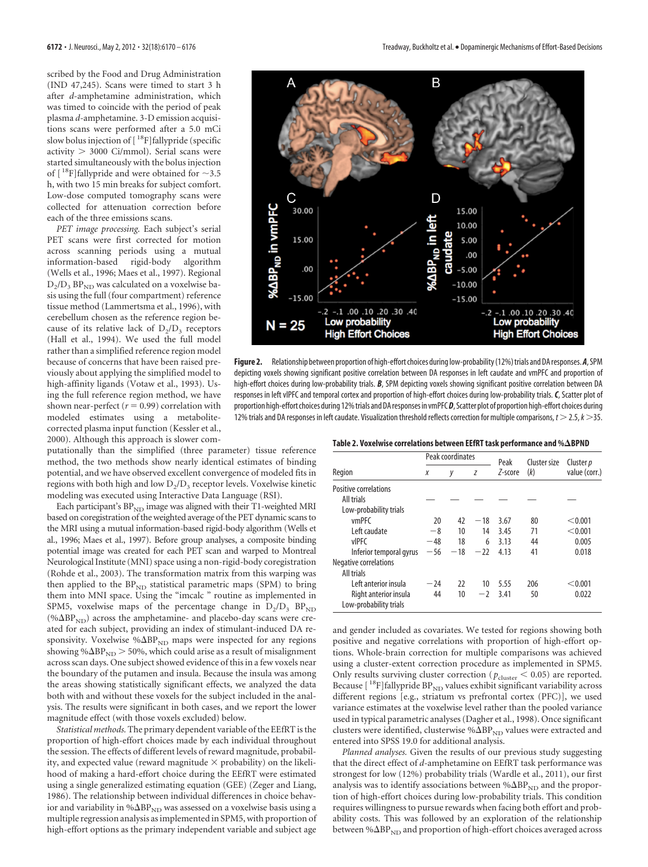scribed by the Food and Drug Administration (IND 47,245). Scans were timed to start 3 h after *d*-amphetamine administration, which was timed to coincide with the period of peak plasma *d*-amphetamine. 3-D emission acquisitions scans were performed after a 5.0 mCi slow bolus injection of [<sup>18</sup>F]fallypride (specific activity > 3000 Ci/mmol). Serial scans were started simultaneously with the bolus injection of  $[$ <sup>18</sup>F]fallypride and were obtained for  $\sim$ 3.5 h, with two 15 min breaks for subject comfort. Low-dose computed tomography scans were collected for attenuation correction before each of the three emissions scans.

*PET image processing.* Each subject's serial PET scans were first corrected for motion across scanning periods using a mutual information-based rigid-body algorithm (Wells et al., 1996; Maes et al., 1997). Regional  $D_2/D_3$  BP<sub>ND</sub> was calculated on a voxelwise basis using the full (four compartment) reference tissue method (Lammertsma et al., 1996), with cerebellum chosen as the reference region because of its relative lack of  $D_2/D_3$  receptors (Hall et al., 1994). We used the full model rather than a simplified reference region model because of concerns that have been raised previously about applying the simplified model to high-affinity ligands (Votaw et al., 1993). Using the full reference region method, we have shown near-perfect ( $r = 0.99$ ) correlation with modeled estimates using a metabolitecorrected plasma input function (Kessler et al., 2000). Although this approach is slower com-

putationally than the simplified (three parameter) tissue reference method, the two methods show nearly identical estimates of binding potential, and we have observed excellent convergence of modeled fits in regions with both high and low  $D_2/D_3$  receptor levels. Voxelwise kinetic modeling was executed using Interactive Data Language (RSI).

Each participant's  $BP_{ND}$  image was aligned with their T1-weighted MRI based on coregistration of the weighted average of the PET dynamic scans to the MRI using a mutual information-based rigid-body algorithm (Wells et al., 1996; Maes et al., 1997). Before group analyses, a composite binding potential image was created for each PET scan and warped to Montreal Neurological Institute (MNI) space using a non-rigid-body coregistration (Rohde et al., 2003). The transformation matrix from this warping was then applied to the  $BP_{ND}$  statistical parametric maps (SPM) to bring them into MNI space. Using the "imcalc " routine as implemented in SPM5, voxelwise maps of the percentage change in  $D_2/D_3$  BP<sub>ND</sub> (% $\Delta BP_{ND}$ ) across the amphetamine- and placebo-day scans were created for each subject, providing an index of stimulant-induced DA responsivity. Voxelwise % $\Delta BP_{ND}$  maps were inspected for any regions showing  $\% \Delta BP_{ND}$   $>$  50%, which could arise as a result of misalignment across scan days. One subject showed evidence of this in a few voxels near the boundary of the putamen and insula. Because the insula was among the areas showing statistically significant effects, we analyzed the data both with and without these voxels for the subject included in the analysis. The results were significant in both cases, and we report the lower magnitude effect (with those voxels excluded) below.

*Statistical methods.* The primary dependent variable of the EEfRT is the proportion of high-effort choices made by each individual throughout the session. The effects of different levels of reward magnitude, probability, and expected value (reward magnitude  $\times$  probability) on the likelihood of making a hard-effort choice during the EEfRT were estimated using a single generalized estimating equation (GEE) (Zeger and Liang, 1986). The relationship between individual differences in choice behavior and variability in % $\Delta BP_{ND}$  was assessed on a voxelwise basis using a multiple regression analysis as implemented in SPM5, with proportion of high-effort options as the primary independent variable and subject age



Figure 2. Relationship between proportion of high-effort choices during low-probability (12%) trials and DA responses. A, SPM depicting voxels showing significant positive correlation between DA responses in left caudate and vmPFC and proportion of high-effort choices during low-probability trials. *B*, SPM depicting voxels showing significant positive correlation between DA responses in left vlPFC and temporal cortex and proportion of high-effort choices during low-probability trials.*C*, Scatter plot of proportion high-effort choices during 12%trials andDAresponses in vmPFC*D*, Scatter plot of proportion high-effort choices during 12% trials and DA responses in left caudate. Visualization threshold reflects correction for multiple comparisons, *t*  $>$  2.5, *k*  $>$  35.

|                                                 | Peak coordinates |       |       | Peak    | Cluster size | Cluster <i>p</i> |
|-------------------------------------------------|------------------|-------|-------|---------|--------------|------------------|
| Region                                          | Χ                | у     | Z     | Z-score | (k)          | value (corr.)    |
| <b>Positive correlations</b>                    |                  |       |       |         |              |                  |
| All trials                                      |                  |       |       |         |              |                  |
| Low-probability trials                          |                  |       |       |         |              |                  |
| vmPFC                                           | 20               | 47    | $-18$ | 3.67    | 80           | < 0.001          |
| Left caudate                                    | $-8$             | 10    | 14    | 3.45    | 71           | < 0.001          |
| <b>vIPFC</b>                                    | $-48$            | 18    | 6     | 3.13    | 44           | 0.005            |
| Inferior temporal gyrus                         | $-56$            | $-18$ | $-22$ | 4.13    | 41           | 0.018            |
| Negative correlations                           |                  |       |       |         |              |                  |
| All trials                                      |                  |       |       |         |              |                  |
| Left anterior insula                            | $-24$            | 22    | 10    | 5.55    | 206          | < 0.001          |
| Right anterior insula<br>Low-probability trials | 44               | 10    | $-2$  | 3.41    | 50           | 0.022            |

and gender included as covariates. We tested for regions showing both positive and negative correlations with proportion of high-effort options. Whole-brain correction for multiple comparisons was achieved using a cluster-extent correction procedure as implemented in SPM5. Only results surviving cluster correction (  $p_{\rm cluster} < 0.05)$  are reported. Because  $[$ <sup>18</sup>F]fallypride  $BP_{ND}$  values exhibit significant variability across different regions [e.g., striatum vs prefrontal cortex (PFC)], we used variance estimates at the voxelwise level rather than the pooled variance used in typical parametric analyses (Dagher et al., 1998). Once significant clusters were identified, clusterwise % $\Delta BP_{ND}$  values were extracted and entered into SPSS 19.0 for additional analysis.

*Planned analyses.* Given the results of our previous study suggesting that the direct effect of *d*-amphetamine on EEfRT task performance was strongest for low (12%) probability trials (Wardle et al., 2011), our first analysis was to identify associations between  $\% \Delta BP_{ND}$  and the proportion of high-effort choices during low-probability trials. This condition requires willingness to pursue rewards when facing both effort and probability costs. This was followed by an exploration of the relationship between % $\Delta BP_{ND}$  and proportion of high-effort choices averaged across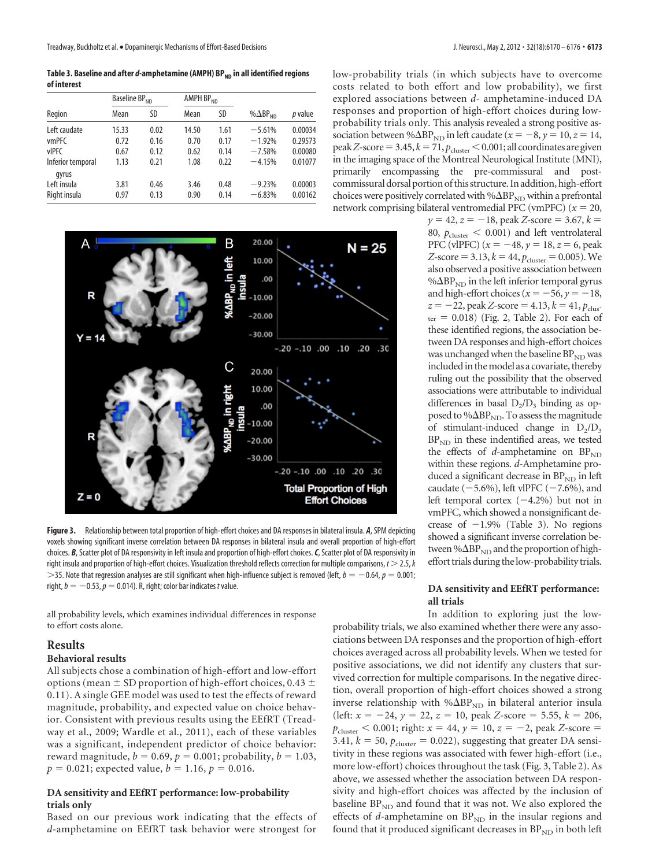Table 3. Baseline and after *d*-amphetamine (AMPH) BP<sub>ND</sub> in all identified regions **of interest**

|                   | Baseline BP <sub>ND</sub> |      | AMPH BP <sub>ND</sub> |      |                    |                |
|-------------------|---------------------------|------|-----------------------|------|--------------------|----------------|
| Region            | Mean                      | SD   | Mean                  | SD   | % $\Delta BP_{ND}$ | <i>p</i> value |
| Left caudate      | 15.33                     | 0.02 | 14.50                 | 1.61 | $-5.61%$           | 0.00034        |
| <b>vmPFC</b>      | 0.72                      | 0.16 | 0.70                  | 0.17 | $-1.92%$           | 0.29573        |
| vIPFC             | 0.67                      | 0.12 | 0.62                  | 0.14 | $-7.58%$           | 0.00080        |
| Inferior temporal | 1.13                      | 0.21 | 1.08                  | 0.22 | $-4.15%$           | 0.01077        |
| gyrus             |                           |      |                       |      |                    |                |
| Left insula       | 3.81                      | 0.46 | 3.46                  | 0.48 | $-9.23%$           | 0.00003        |
| Right insula      | 0.97                      | 0.13 | 0.90                  | 0.14 | $-6.83%$           | 0.00162        |



**Figure 3.** Relationship between total proportion of high-effort choices and DA responses in bilateral insula. *A*, SPM depicting voxels showing significant inverse correlation between DA responses in bilateral insula and overall proportion of high-effort choices. *B*, Scatter plot of DA responsivity in left insula and proportion of high-effort choices.*C*, Scatter plot of DA responsivity in right insula and proportion of high-effort choices. Visualization threshold reflects correction for multiple comparisons, *t* - 2.5,*k*  $>$ 35. Note that regression analyses are still significant when high-influence subject is removed (left,  $b = -0.64$ ,  $p = 0.001;$ right,  $b = -0.53$ ,  $p = 0.014$ ). R, right; color bar indicates *t* value.

all probability levels, which examines individual differences in response to effort costs alone.

# **Results**

## **Behavioral results**

All subjects chose a combination of high-effort and low-effort options (mean  $\pm$  SD proportion of high-effort choices, 0.43  $\pm$ 0.11). A single GEE model was used to test the effects of reward magnitude, probability, and expected value on choice behavior. Consistent with previous results using the EEfRT (Treadway et al., 2009; Wardle et al., 2011), each of these variables was a significant, independent predictor of choice behavior: reward magnitude,  $b = 0.69$ ,  $p = 0.001$ ; probability,  $b = 1.03$ ,  $p = 0.021$ ; expected value,  $b = 1.16$ ,  $p = 0.016$ .

## **DA sensitivity and EEfRT performance: low-probability trials only**

Based on our previous work indicating that the effects of *d*-amphetamine on EEfRT task behavior were strongest for low-probability trials (in which subjects have to overcome costs related to both effort and low probability), we first explored associations between *d*- amphetamine-induced DA responses and proportion of high-effort choices during lowprobability trials only. This analysis revealed a strong positive association between % $\Delta BP_{ND}$  in left caudate ( $x = -8$ ,  $y = 10$ ,  $z = 14$ , peak *Z*-score = 3.45,  $k = 71$ ,  $p_{\text{cluster}} < 0.001$ ; all coordinates are given in the imaging space of the Montreal Neurological Institute (MNI), primarily encompassing the pre-commissural and postcommissural dorsal portion of this structure. In addition, high-effort choices were positively correlated with  $% \triangle BP_{ND}$  within a prefrontal network comprising bilateral ventromedial PFC (vmPFC)  $(x = 20,$ 

 $y = 42$ ,  $z = -18$ , peak *Z*-score = 3.67,  $k =$ 80,  $p_{\text{cluster}} < 0.001$ ) and left ventrolateral PFC (vlPFC)  $(x = -48, y = 18, z = 6, peak$ *Z*-score = 3.13,  $k = 44$ ,  $p_{cluster} = 0.005$ ). We also observed a positive association between % $\Delta BP_{ND}$  in the left inferior temporal gyrus and high-effort choices ( $x = -56$ ,  $y = -18$ ,  $z = -22$ , peak *Z*-score = 4.13,  $k = 41$ ,  $p_{\text{clus}}$  $ter = 0.018$ ) (Fig. 2, Table 2). For each of these identified regions, the association between DA responses and high-effort choices was unchanged when the baseline  $BP_{ND}$  was included in the model as a covariate, thereby ruling out the possibility that the observed associations were attributable to individual differences in basal  $D_2/D_3$  binding as opposed to % $\Delta BP_{ND}$ . To assess the magnitude of stimulant-induced change in  $D_2/D_3$  $BP<sub>ND</sub>$  in these indentified areas, we tested the effects of *d*-amphetamine on BP<sub>ND</sub> within these regions. *d*-Amphetamine produced a significant decrease in  $BP_{ND}$  in left caudate  $(-5.6\%)$ , left vlPFC  $(-7.6\%)$ , and left temporal cortex  $(-4.2%)$  but not in vmPFC, which showed a nonsignificant decrease of  $-1.9\%$  (Table 3). No regions showed a significant inverse correlation between % $\Delta BP_{ND}$  and the proportion of higheffort trials during the low-probability trials.

## **DA sensitivity and EEfRT performance: all trials**

In addition to exploring just the lowprobability trials, we also examined whether there were any associations between DA responses and the proportion of high-effort choices averaged across all probability levels. When we tested for positive associations, we did not identify any clusters that survived correction for multiple comparisons. In the negative direction, overall proportion of high-effort choices showed a strong inverse relationship with  $% \Delta BP_{ND}$  in bilateral anterior insula (left:  $x = -24$ ,  $y = 22$ ,  $z = 10$ , peak *Z*-score = 5.55,  $k = 206$ ,  $p_{\text{cluster}} < 0.001$ ; right:  $x = 44$ ,  $y = 10$ ,  $z = -2$ , peak *Z*-score = 3.41,  $k = 50$ ,  $p_{\text{cluster}} = 0.022$ ), suggesting that greater DA sensitivity in these regions was associated with fewer high-effort (i.e., more low-effort) choices throughout the task (Fig. 3, Table 2). As above, we assessed whether the association between DA responsivity and high-effort choices was affected by the inclusion of baseline  $BP_{ND}$  and found that it was not. We also explored the effects of  $d$ -amphetamine on  $BP_{ND}$  in the insular regions and found that it produced significant decreases in  $BP_{ND}$  in both left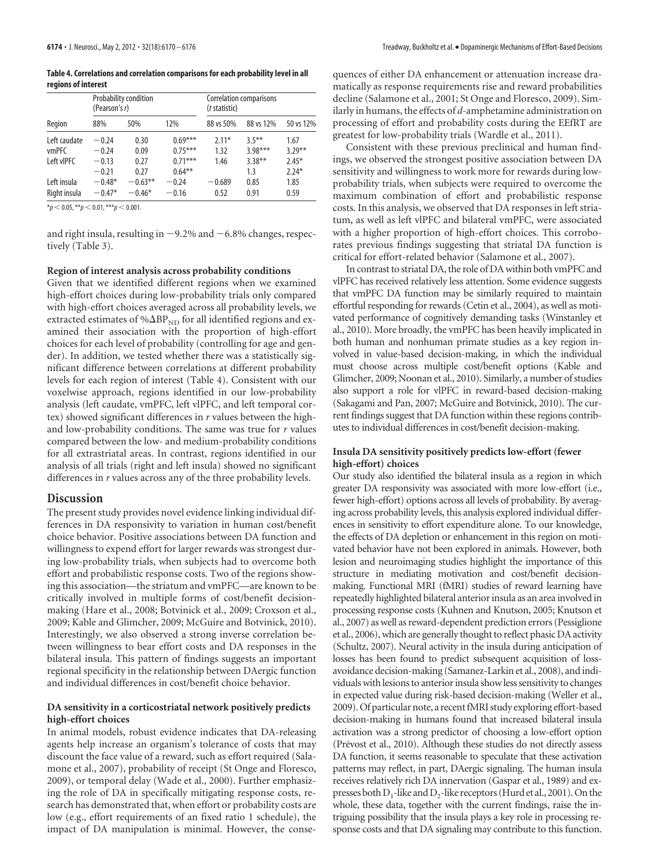**6174 •** J. Neurosci., May 2, 2012 • 32(18):6170 – 6176 Treadway, Buckholtz et al. • Dopaminergic Mechanisms of Effort-Based Decisions

**Table 4. Correlations and correlation comparisons for each probability level in all regions of interest**

| Region       | (Pearson's r) | Probability condition |           | Correlation comparisons<br>( <i>t</i> statistic) |           |           |  |
|--------------|---------------|-----------------------|-----------|--------------------------------------------------|-----------|-----------|--|
|              | 88%           | 50%                   | 12%       | 88 vs 50%                                        | 88 vs 12% | 50 vs 12% |  |
| Left caudate | $-0.24$       | 0.30                  | $0.69***$ | $2.11*$                                          | $3.5***$  | 1.67      |  |
| <b>vmPFC</b> | $-0.24$       | 0.09                  | $0.75***$ | 1.32                                             | $3.98***$ | $3.29***$ |  |
| Left vIPFC   | $-0.13$       | 0.27                  | $0.71***$ | 1.46                                             | $3.38***$ | $2.45*$   |  |
|              | $-0.21$       | 0.27                  | $0.64***$ |                                                  | 1.3       | $2.24*$   |  |
| Left insula  | $-0.48*$      | $-0.63**$             | $-0.24$   | $-0.689$                                         | 0.85      | 1.85      |  |
| Right insula | $-0.47*$      | $-0.46*$              | $-0.16$   | 0.52                                             | 0.91      | 0.59      |  |

 $*_{p}$  < 0.05,  $*_{p}$  < 0.01,  $*_{p}$  < 0.001.

and right insula, resulting in  $-9.2\%$  and  $-6.8\%$  changes, respectively (Table 3).

#### **Region of interest analysis across probability conditions**

Given that we identified different regions when we examined high-effort choices during low-probability trials only compared with high-effort choices averaged across all probability levels, we extracted estimates of % $\Delta BP_{ND}$  for all identified regions and examined their association with the proportion of high-effort choices for each level of probability (controlling for age and gender). In addition, we tested whether there was a statistically significant difference between correlations at different probability levels for each region of interest (Table 4). Consistent with our voxelwise approach, regions identified in our low-probability analysis (left caudate, vmPFC, left vlPFC, and left temporal cortex) showed significant differences in *r* values between the highand low-probability conditions. The same was true for *r* values compared between the low- and medium-probability conditions for all extrastriatal areas. In contrast, regions identified in our analysis of all trials (right and left insula) showed no significant differences in *r* values across any of the three probability levels.

#### **Discussion**

The present study provides novel evidence linking individual differences in DA responsivity to variation in human cost/benefit choice behavior. Positive associations between DA function and willingness to expend effort for larger rewards was strongest during low-probability trials, when subjects had to overcome both effort and probabilistic response costs. Two of the regions showing this association—the striatum and vmPFC—are known to be critically involved in multiple forms of cost/benefit decisionmaking (Hare et al., 2008; Botvinick et al., 2009; Croxson et al., 2009; Kable and Glimcher, 2009; McGuire and Botvinick, 2010). Interestingly, we also observed a strong inverse correlation between willingness to bear effort costs and DA responses in the bilateral insula. This pattern of findings suggests an important regional specificity in the relationship between DAergic function and individual differences in cost/benefit choice behavior.

## **DA sensitivity in a corticostriatal network positively predicts high-effort choices**

In animal models, robust evidence indicates that DA-releasing agents help increase an organism's tolerance of costs that may discount the face value of a reward, such as effort required (Salamone et al., 2007), probability of receipt (St Onge and Floresco, 2009), or temporal delay (Wade et al., 2000). Further emphasizing the role of DA in specifically mitigating response costs, research has demonstrated that, when effort or probability costs are low (e.g., effort requirements of an fixed ratio 1 schedule), the impact of DA manipulation is minimal. However, the consequences of either DA enhancement or attenuation increase dramatically as response requirements rise and reward probabilities decline (Salamone et al., 2001; St Onge and Floresco, 2009). Similarly in humans, the effects of *d*-amphetamine administration on processing of effort and probability costs during the EEfRT are greatest for low-probability trials (Wardle et al., 2011).

Consistent with these previous preclinical and human findings, we observed the strongest positive association between DA sensitivity and willingness to work more for rewards during lowprobability trials, when subjects were required to overcome the maximum combination of effort and probabilistic response costs. In this analysis, we observed that DA responses in left striatum, as well as left vlPFC and bilateral vmPFC, were associated with a higher proportion of high-effort choices. This corroborates previous findings suggesting that striatal DA function is critical for effort-related behavior (Salamone et al., 2007).

In contrast to striatal DA, the role of DA within both vmPFC and vlPFC has received relatively less attention. Some evidence suggests that vmPFC DA function may be similarly required to maintain effortful responding for rewards (Cetin et al., 2004), as well as motivated performance of cognitively demanding tasks (Winstanley et al., 2010). More broadly, the vmPFC has been heavily implicated in both human and nonhuman primate studies as a key region involved in value-based decision-making, in which the individual must choose across multiple cost/benefit options (Kable and Glimcher, 2009; Noonan et al., 2010). Similarly, a number of studies also support a role for vlPFC in reward-based decision-making (Sakagami and Pan, 2007; McGuire and Botvinick, 2010). The current findings suggest that DA function within these regions contributes to individual differences in cost/benefit decision-making.

## **Insula DA sensitivity positively predicts low-effort (fewer high-effort) choices**

Our study also identified the bilateral insula as a region in which greater DA responsivity was associated with more low-effort (i.e., fewer high-effort) options across all levels of probability. By averaging across probability levels, this analysis explored individual differences in sensitivity to effort expenditure alone. To our knowledge, the effects of DA depletion or enhancement in this region on motivated behavior have not been explored in animals. However, both lesion and neuroimaging studies highlight the importance of this structure in mediating motivation and cost/benefit decisionmaking. Functional MRI (fMRI) studies of reward learning have repeatedly highlighted bilateral anterior insula as an area involved in processing response costs (Kuhnen and Knutson, 2005; Knutson et al., 2007) as well as reward-dependent prediction errors (Pessiglione et al., 2006), which are generally thought to reflect phasic DA activity (Schultz, 2007). Neural activity in the insula during anticipation of losses has been found to predict subsequent acquisition of lossavoidance decision-making (Samanez-Larkin et al., 2008), and individuals with lesions to anterior insula show less sensitivity to changes in expected value during risk-based decision-making (Weller et al., 2009). Of particular note, a recent fMRI study exploring effort-based decision-making in humans found that increased bilateral insula activation was a strong predictor of choosing a low-effort option (Prévost et al., 2010). Although these studies do not directly assess DA function, it seems reasonable to speculate that these activation patterns may reflect, in part, DAergic signaling. The human insula receives relatively rich DA innervation (Gaspar et al., 1989) and expresses both  $D_1$ -like and  $D_2$ -like receptors (Hurd et al., 2001). On the whole, these data, together with the current findings, raise the intriguing possibility that the insula plays a key role in processing response costs and that DA signaling may contribute to this function.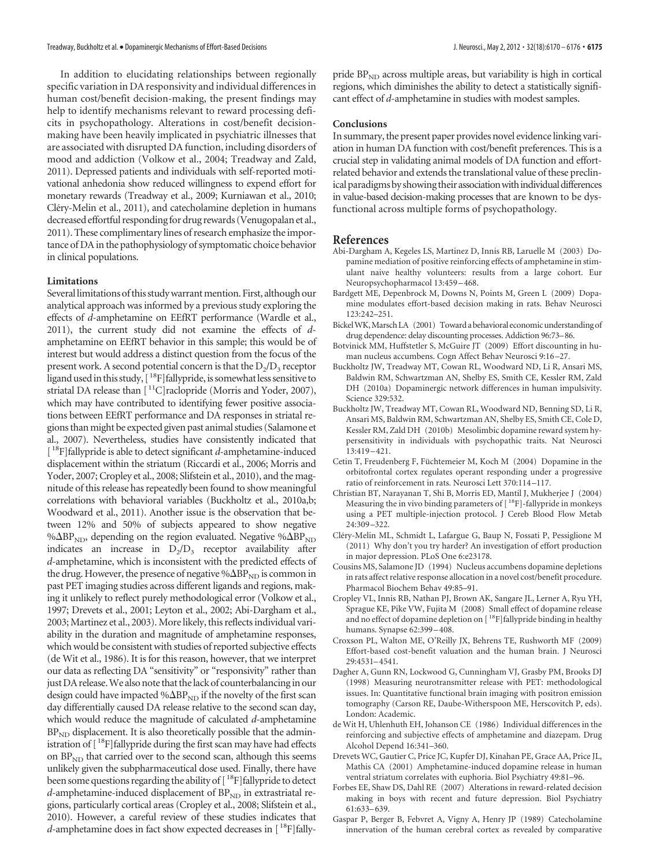In addition to elucidating relationships between regionally specific variation in DA responsivity and individual differences in human cost/benefit decision-making, the present findings may help to identify mechanisms relevant to reward processing deficits in psychopathology. Alterations in cost/benefit decisionmaking have been heavily implicated in psychiatric illnesses that are associated with disrupted DA function, including disorders of mood and addiction (Volkow et al., 2004; Treadway and Zald, 2011). Depressed patients and individuals with self-reported motivational anhedonia show reduced willingness to expend effort for monetary rewards (Treadway et al., 2009; Kurniawan et al., 2010; Cléry-Melin et al., 2011), and catecholamine depletion in humans decreased effortful responding for drug rewards (Venugopalan et al., 2011). These complimentary lines of research emphasize the importance of DA in the pathophysiology of symptomatic choice behavior in clinical populations.

#### **Limitations**

Several limitations of this study warrant mention. First, although our analytical approach was informed by a previous study exploring the effects of *d*-amphetamine on EEfRT performance (Wardle et al., 2011), the current study did not examine the effects of *d*amphetamine on EEfRT behavior in this sample; this would be of interest but would address a distinct question from the focus of the present work. A second potential concern is that the  $D_2/D_3$  receptor ligand used in this study,  $[$ <sup>18</sup>F]fallypride, is somewhat less sensitive to striatal DA release than [<sup>11</sup>C]raclopride (Morris and Yoder, 2007), which may have contributed to identifying fewer positive associations between EEfRT performance and DA responses in striatal regions than might be expected given past animal studies (Salamone et al., 2007). Nevertheless, studies have consistently indicated that [ 18F]fallypride is able to detect significant *d*-amphetamine-induced displacement within the striatum (Riccardi et al., 2006; Morris and Yoder, 2007; Cropley et al., 2008; Slifstein et al., 2010), and the magnitude of this release has repeatedly been found to show meaningful correlations with behavioral variables (Buckholtz et al., 2010a,b; Woodward et al., 2011). Another issue is the observation that between 12% and 50% of subjects appeared to show negative % $\Delta BP_{ND}$ , depending on the region evaluated. Negative % $\Delta BP_{ND}$ indicates an increase in  $D_2/D_3$  receptor availability after *d*-amphetamine, which is inconsistent with the predicted effects of the drug. However, the presence of negative  $% \Delta BP_{ND}$  is common in past PET imaging studies across different ligands and regions, making it unlikely to reflect purely methodological error (Volkow et al., 1997; Drevets et al., 2001; Leyton et al., 2002; Abi-Dargham et al., 2003; Martinez et al., 2003). More likely, this reflects individual variability in the duration and magnitude of amphetamine responses, which would be consistent with studies of reported subjective effects (de Wit et al., 1986). It is for this reason, however, that we interpret our data as reflecting DA "sensitivity" or "responsivity" rather than just DA release. We also note that the lack of counterbalancing in our design could have impacted % $\Delta BP_{ND}$  if the novelty of the first scan day differentially caused DA release relative to the second scan day, which would reduce the magnitude of calculated *d*-amphetamine  $BP<sub>ND</sub>$  displacement. It is also theoretically possible that the administration of [<sup>18</sup>F]fallypride during the first scan may have had effects on  $BP<sub>ND</sub>$  that carried over to the second scan, although this seems unlikely given the subpharmaceutical dose used. Finally, there have been some questions regarding the ability of [<sup>18</sup>F]fallypride to detect *d*-amphetamine-induced displacement of  $BP_{ND}$  in extrastriatal regions, particularly cortical areas (Cropley et al., 2008; Slifstein et al., 2010). However, a careful review of these studies indicates that *d*-amphetamine does in fact show expected decreases in [<sup>18</sup>F]fallypride  $BP<sub>ND</sub>$  across multiple areas, but variability is high in cortical regions, which diminishes the ability to detect a statistically significant effect of *d*-amphetamine in studies with modest samples.

### **Conclusions**

In summary, the present paper provides novel evidence linking variation in human DA function with cost/benefit preferences. This is a crucial step in validating animal models of DA function and effortrelated behavior and extends the translational value of these preclinical paradigms by showing their association with individual differences in value-based decision-making processes that are known to be dysfunctional across multiple forms of psychopathology.

## **References**

- Abi-Dargham A, Kegeles LS, Martinez D, Innis RB, Laruelle M (2003) Dopamine mediation of positive reinforcing effects of amphetamine in stimulant naive healthy volunteers: results from a large cohort. Eur Neuropsychopharmacol 13:459 –468.
- Bardgett ME, Depenbrock M, Downs N, Points M, Green L (2009) Dopamine modulates effort-based decision making in rats. Behav Neurosci 123:242–251.
- BickelWK,Marsch LA (2001) Toward a behavioral economic understanding of drug dependence: delay discounting processes. Addiction 96:73–86.
- Botvinick MM, Huffstetler S, McGuire JT (2009) Effort discounting in human nucleus accumbens. Cogn Affect Behav Neurosci 9:16 –27.
- Buckholtz JW, Treadway MT, Cowan RL, Woodward ND, Li R, Ansari MS, Baldwin RM, Schwartzman AN, Shelby ES, Smith CE, Kessler RM, Zald DH (2010a) Dopaminergic network differences in human impulsivity. Science 329:532.
- Buckholtz JW, Treadway MT, Cowan RL, Woodward ND, Benning SD, Li R, Ansari MS, Baldwin RM, Schwartzman AN, Shelby ES, Smith CE, Cole D, Kessler RM, Zald DH (2010b) Mesolimbic dopamine reward system hypersensitivity in individuals with psychopathic traits. Nat Neurosci 13:419 –421.
- Cetin T, Freudenberg F, Füchtemeier M, Koch M (2004) Dopamine in the orbitofrontal cortex regulates operant responding under a progressive ratio of reinforcement in rats. Neurosci Lett 370:114 –117.
- Christian BT, Narayanan T, Shi B, Morris ED, Mantil J, Mukherjee J (2004) Measuring the in vivo binding parameters of  $[$   $18$ F]-fallypride in monkeys using a PET multiple-injection protocol. J Cereb Blood Flow Metab 24:309 –322.
- Cléry-Melin ML, Schmidt L, Lafargue G, Baup N, Fossati P, Pessiglione M (2011) Why don't you try harder? An investigation of effort production in major depression. PLoS One 6:e23178.
- Cousins MS, Salamone JD (1994) Nucleus accumbens dopamine depletions in rats affect relative response allocation in a novel cost/benefit procedure. Pharmacol Biochem Behav 49:85–91.
- Cropley VL, Innis RB, Nathan PJ, Brown AK, Sangare JL, Lerner A, Ryu YH, Sprague KE, Pike VW, Fujita M (2008) Small effect of dopamine release and no effect of dopamine depletion on [<sup>18</sup>F]fallypride binding in healthy humans. Synapse 62:399 –408.
- Croxson PL, Walton ME, O'Reilly JX, Behrens TE, Rushworth MF (2009) Effort-based cost-benefit valuation and the human brain. J Neurosci 29:4531–4541.
- Dagher A, Gunn RN, Lockwood G, Cunningham VJ, Grasby PM, Brooks DJ (1998) Measuring neurotransmitter release with PET: methodological issues. In: Quantitative functional brain imaging with positron emission tomography (Carson RE, Daube-Witherspoon ME, Herscovitch P, eds). London: Academic.
- de Wit H, Uhlenhuth EH, Johanson CE (1986) Individual differences in the reinforcing and subjective effects of amphetamine and diazepam. Drug Alcohol Depend 16:341–360.
- Drevets WC, Gautier C, Price JC, Kupfer DJ, Kinahan PE, Grace AA, Price JL, Mathis CA (2001) Amphetamine-induced dopamine release in human ventral striatum correlates with euphoria. Biol Psychiatry 49:81–96.
- Forbes EE, Shaw DS, Dahl RE (2007) Alterations in reward-related decision making in boys with recent and future depression. Biol Psychiatry 61:633–639.
- Gaspar P, Berger B, Febvret A, Vigny A, Henry JP (1989) Catecholamine innervation of the human cerebral cortex as revealed by comparative